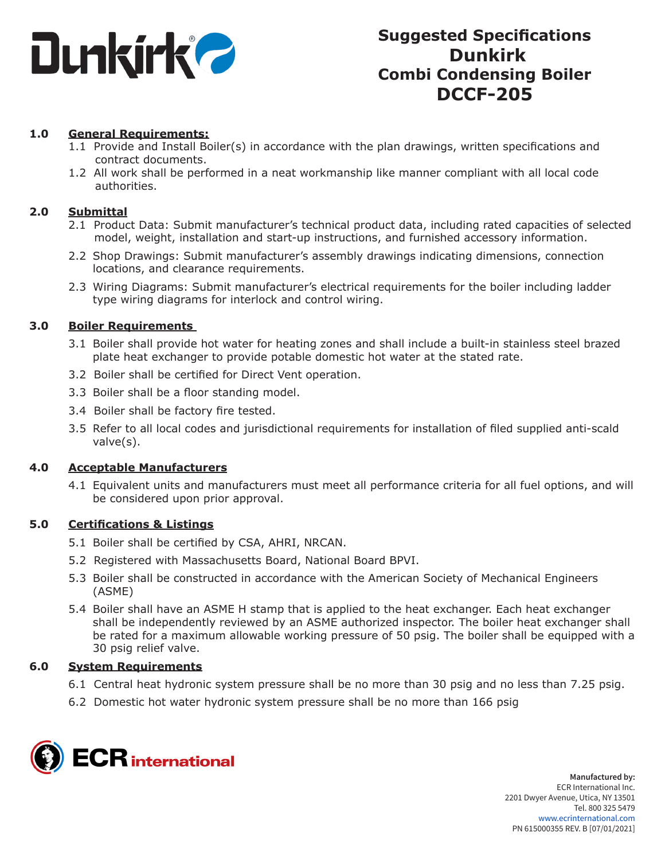

### **1.0 General Requirements:**

- 1.1 Provide and Install Boiler(s) in accordance with the plan drawings, written specifications and contract documents.
- 1.2 All work shall be performed in a neat workmanship like manner compliant with all local code authorities.

### **2.0 Submittal**

- 2.1 Product Data: Submit manufacturer's technical product data, including rated capacities of selected model, weight, installation and start-up instructions, and furnished accessory information.
- 2.2 Shop Drawings: Submit manufacturer's assembly drawings indicating dimensions, connection locations, and clearance requirements.
- 2.3 Wiring Diagrams: Submit manufacturer's electrical requirements for the boiler including ladder type wiring diagrams for interlock and control wiring.

### **3.0 Boiler Requirements**

- 3.1 Boiler shall provide hot water for heating zones and shall include a built-in stainless steel brazed plate heat exchanger to provide potable domestic hot water at the stated rate.
- 3.2 Boiler shall be certified for Direct Vent operation.
- 3.3 Boiler shall be a floor standing model.
- 3.4 Boiler shall be factory fire tested.
- 3.5 Refer to all local codes and jurisdictional requirements for installation of filed supplied anti-scald valve(s).

### **4.0 Acceptable Manufacturers**

4.1 Equivalent units and manufacturers must meet all performance criteria for all fuel options, and will be considered upon prior approval.

### **5.0 Certifications & Listings**

- 5.1 Boiler shall be certified by CSA, AHRI, NRCAN.
- 5.2 Registered with Massachusetts Board, National Board BPVI.
- 5.3 Boiler shall be constructed in accordance with the American Society of Mechanical Engineers (ASME)
- 5.4 Boiler shall have an ASME H stamp that is applied to the heat exchanger. Each heat exchanger shall be independently reviewed by an ASME authorized inspector. The boiler heat exchanger shall be rated for a maximum allowable working pressure of 50 psig. The boiler shall be equipped with a 30 psig relief valve.

### **6.0 System Requirements**

- 6.1 Central heat hydronic system pressure shall be no more than 30 psig and no less than 7.25 psig.
- 6.2 Domestic hot water hydronic system pressure shall be no more than 166 psig

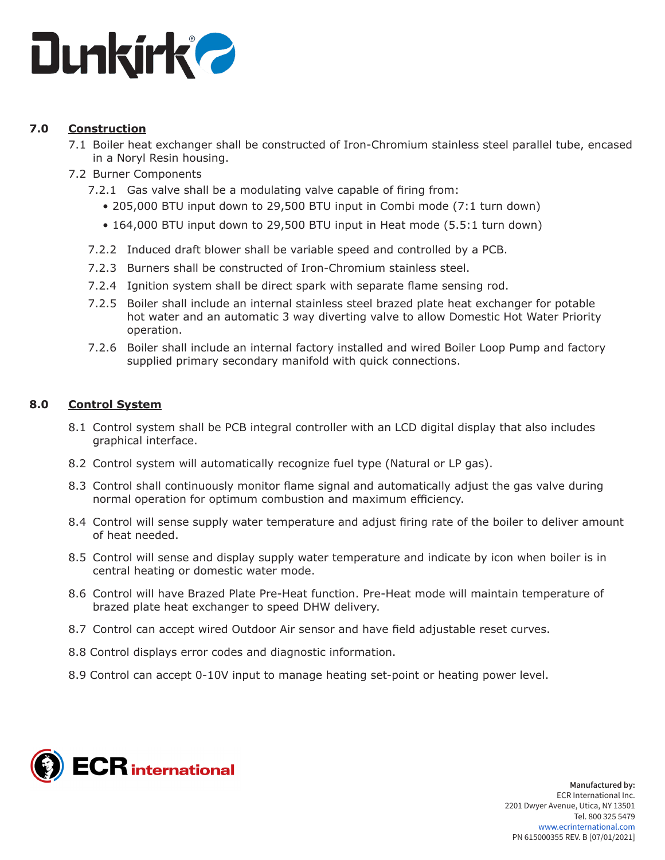

## **7.0 Construction**

- 7.1 Boiler heat exchanger shall be constructed of Iron-Chromium stainless steel parallel tube, encased in a Noryl Resin housing.
- 7.2 Burner Components
	- 7.2.1 Gas valve shall be a modulating valve capable of firing from:
		- 205,000 BTU input down to 29,500 BTU input in Combi mode (7:1 turn down)
		- 164,000 BTU input down to 29,500 BTU input in Heat mode (5.5:1 turn down)
	- 7.2.2 Induced draft blower shall be variable speed and controlled by a PCB.
	- 7.2.3 Burners shall be constructed of Iron-Chromium stainless steel.
	- 7.2.4 Ignition system shall be direct spark with separate flame sensing rod.
	- 7.2.5 Boiler shall include an internal stainless steel brazed plate heat exchanger for potable hot water and an automatic 3 way diverting valve to allow Domestic Hot Water Priority operation.
	- 7.2.6 Boiler shall include an internal factory installed and wired Boiler Loop Pump and factory supplied primary secondary manifold with quick connections.

## **8.0 Control System**

- 8.1 Control system shall be PCB integral controller with an LCD digital display that also includes graphical interface.
- 8.2 Control system will automatically recognize fuel type (Natural or LP gas).
- 8.3 Control shall continuously monitor flame signal and automatically adjust the gas valve during normal operation for optimum combustion and maximum efficiency.
- 8.4 Control will sense supply water temperature and adjust firing rate of the boiler to deliver amount of heat needed.
- 8.5 Control will sense and display supply water temperature and indicate by icon when boiler is in central heating or domestic water mode.
- 8.6 Control will have Brazed Plate Pre-Heat function. Pre-Heat mode will maintain temperature of brazed plate heat exchanger to speed DHW delivery.
- 8.7 Control can accept wired Outdoor Air sensor and have field adjustable reset curves.
- 8.8 Control displays error codes and diagnostic information.
- 8.9 Control can accept 0-10V input to manage heating set-point or heating power level.